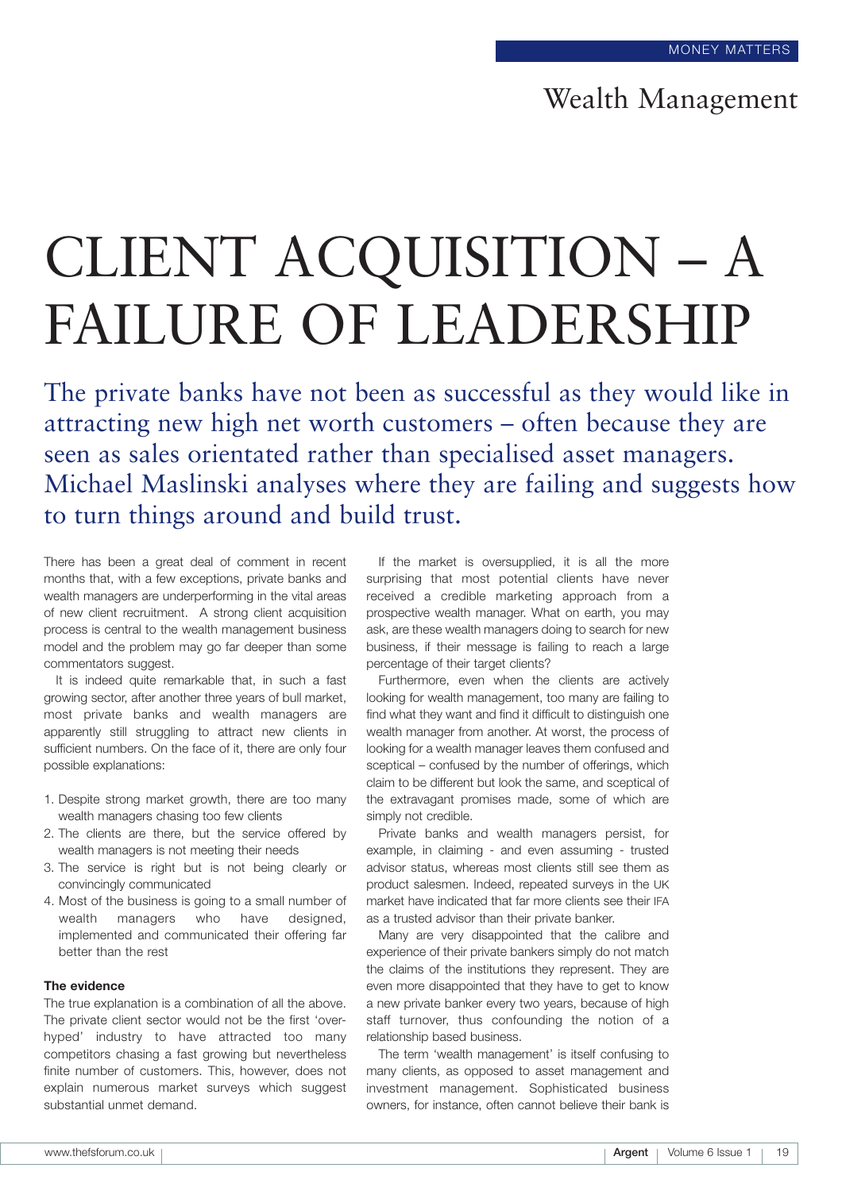## Wealth Management

# CLIENT ACQUISITION – A FAILURE OF LEADERSHIP

The private banks have not been as successful as they would like in attracting new high net worth customers – often because they are seen as sales orientated rather than specialised asset managers. Michael Maslinski analyses where they are failing and suggests how to turn things around and build trust.

There has been a great deal of comment in recent months that, with a few exceptions, private banks and wealth managers are underperforming in the vital areas of new client recruitment. A strong client acquisition process is central to the wealth management business model and the problem may go far deeper than some commentators suggest.

It is indeed quite remarkable that, in such a fast growing sector, after another three years of bull market, most private banks and wealth managers are apparently still struggling to attract new clients in sufficient numbers. On the face of it, there are only four possible explanations:

- 1. Despite strong market growth, there are too many wealth managers chasing too few clients
- 2. The clients are there, but the service offered by wealth managers is not meeting their needs
- 3. The service is right but is not being clearly or convincingly communicated
- 4. Most of the business is going to a small number of wealth managers who have designed, implemented and communicated their offering far better than the rest

#### **The evidence**

The true explanation is a combination of all the above. The private client sector would not be the first 'overhyped' industry to have attracted too many competitors chasing a fast growing but nevertheless finite number of customers. This, however, does not explain numerous market surveys which suggest substantial unmet demand.

If the market is oversupplied, it is all the more surprising that most potential clients have never received a credible marketing approach from a prospective wealth manager. What on earth, you may ask, are these wealth managers doing to search for new business, if their message is failing to reach a large percentage of their target clients?

Furthermore, even when the clients are actively looking for wealth management, too many are failing to find what they want and find it difficult to distinguish one wealth manager from another. At worst, the process of looking for a wealth manager leaves them confused and sceptical – confused by the number of offerings, which claim to be different but look the same, and sceptical of the extravagant promises made, some of which are simply not credible.

Private banks and wealth managers persist, for example, in claiming - and even assuming - trusted advisor status, whereas most clients still see them as product salesmen. Indeed, repeated surveys in the UK market have indicated that far more clients see their IFA as a trusted advisor than their private banker.

Many are very disappointed that the calibre and experience of their private bankers simply do not match the claims of the institutions they represent. They are even more disappointed that they have to get to know a new private banker every two years, because of high staff turnover, thus confounding the notion of a relationship based business.

The term 'wealth management' is itself confusing to many clients, as opposed to asset management and investment management. Sophisticated business owners, for instance, often cannot believe their bank is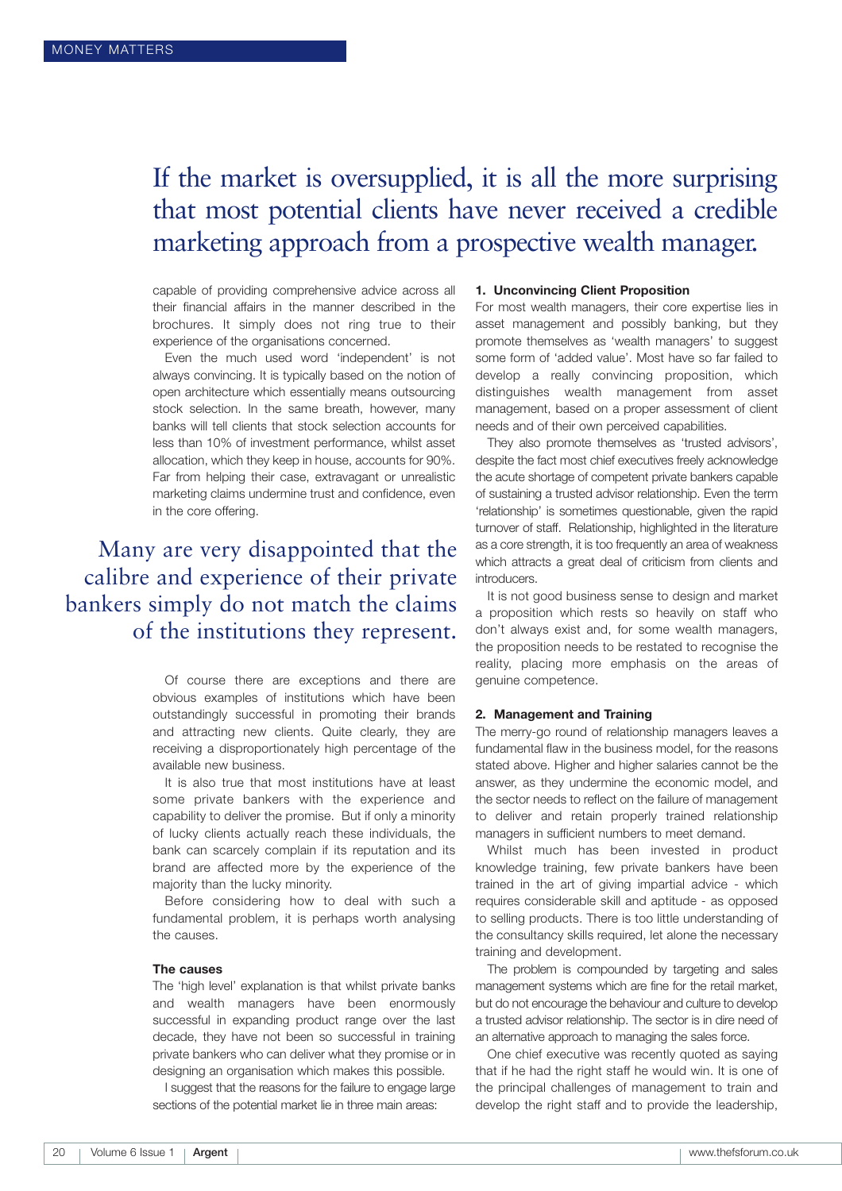# If the market is oversupplied, it is all the more surprising that most potential clients have never received a credible marketing approach from a prospective wealth manager.

capable of providing comprehensive advice across all their financial affairs in the manner described in the brochures. It simply does not ring true to their experience of the organisations concerned.

Even the much used word 'independent' is not always convincing. It is typically based on the notion of open architecture which essentially means outsourcing stock selection. In the same breath, however, many banks will tell clients that stock selection accounts for less than 10% of investment performance, whilst asset allocation, which they keep in house, accounts for 90%. Far from helping their case, extravagant or unrealistic marketing claims undermine trust and confidence, even in the core offering.

## Many are very disappointed that the calibre and experience of their private bankers simply do not match the claims of the institutions they represent.

Of course there are exceptions and there are obvious examples of institutions which have been outstandingly successful in promoting their brands and attracting new clients. Quite clearly, they are receiving a disproportionately high percentage of the available new business.

It is also true that most institutions have at least some private bankers with the experience and capability to deliver the promise. But if only a minority of lucky clients actually reach these individuals, the bank can scarcely complain if its reputation and its brand are affected more by the experience of the majority than the lucky minority.

Before considering how to deal with such a fundamental problem, it is perhaps worth analysing the causes.

#### **The causes**

The 'high level' explanation is that whilst private banks and wealth managers have been enormously successful in expanding product range over the last decade, they have not been so successful in training private bankers who can deliver what they promise or in designing an organisation which makes this possible.

I suggest that the reasons for the failure to engage large sections of the potential market lie in three main areas:

#### **1. Unconvincing Client Proposition**

For most wealth managers, their core expertise lies in asset management and possibly banking, but they promote themselves as 'wealth managers' to suggest some form of 'added value'. Most have so far failed to develop a really convincing proposition, which distinguishes wealth management from asset management, based on a proper assessment of client needs and of their own perceived capabilities.

They also promote themselves as 'trusted advisors', despite the fact most chief executives freely acknowledge the acute shortage of competent private bankers capable of sustaining a trusted advisor relationship. Even the term 'relationship' is sometimes questionable, given the rapid turnover of staff. Relationship, highlighted in the literature as a core strength, it is too frequently an area of weakness which attracts a great deal of criticism from clients and introducers.

It is not good business sense to design and market a proposition which rests so heavily on staff who don't always exist and, for some wealth managers, the proposition needs to be restated to recognise the reality, placing more emphasis on the areas of genuine competence.

#### **2. Management and Training**

The merry-go round of relationship managers leaves a fundamental flaw in the business model, for the reasons stated above. Higher and higher salaries cannot be the answer, as they undermine the economic model, and the sector needs to reflect on the failure of management to deliver and retain properly trained relationship managers in sufficient numbers to meet demand.

Whilst much has been invested in product knowledge training, few private bankers have been trained in the art of giving impartial advice - which requires considerable skill and aptitude - as opposed to selling products. There is too little understanding of the consultancy skills required, let alone the necessary training and development.

The problem is compounded by targeting and sales management systems which are fine for the retail market, but do not encourage the behaviour and culture to develop a trusted advisor relationship. The sector is in dire need of an alternative approach to managing the sales force.

One chief executive was recently quoted as saying that if he had the right staff he would win. It is one of the principal challenges of management to train and develop the right staff and to provide the leadership,